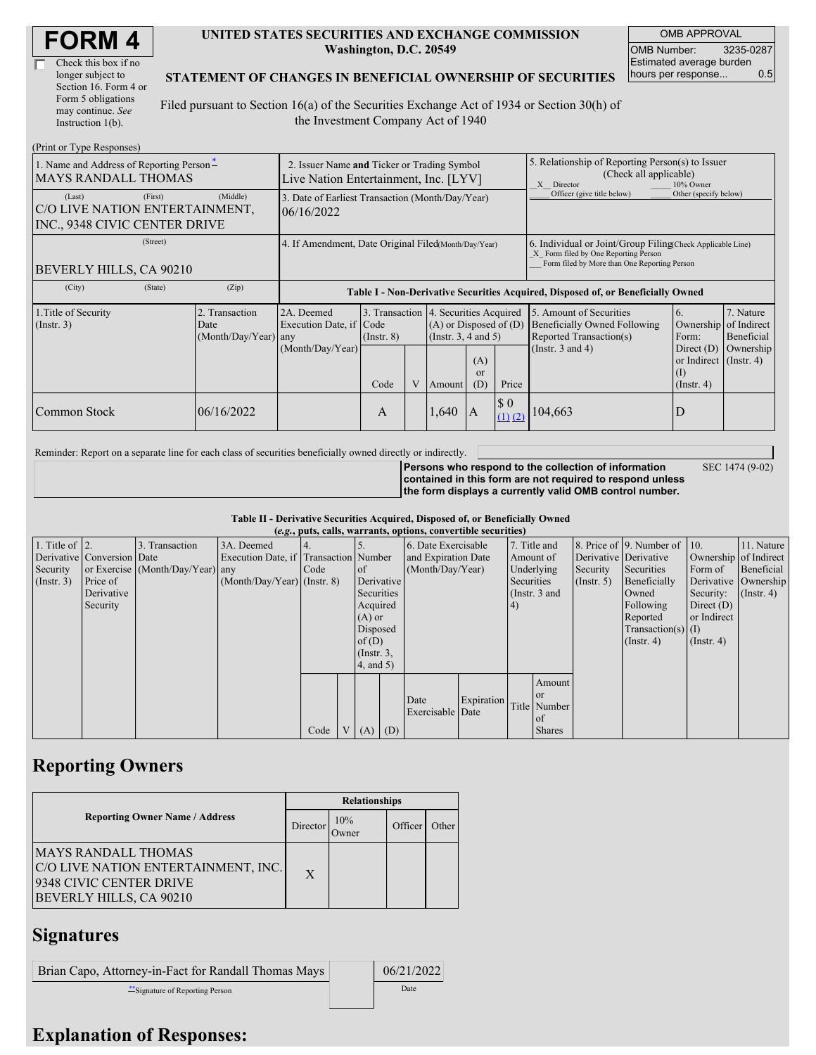| <b>FORM4</b> |
|--------------|
|--------------|

| Check this box if no  |
|-----------------------|
| longer subject to     |
| Section 16. Form 4 or |
| Form 5 obligations    |
| may continue. See     |
| Instruction $1(b)$ .  |

### **UNITED STATES SECURITIES AND EXCHANGE COMMISSION Washington, D.C. 20549**

OMB APPROVAL OMB Number: 3235-0287 Estimated average burden hours per response... 0.5

SEC 1474 (9-02)

### **STATEMENT OF CHANGES IN BENEFICIAL OWNERSHIP OF SECURITIES**

Filed pursuant to Section 16(a) of the Securities Exchange Act of 1934 or Section 30(h) of the Investment Company Act of 1940

| (Print or Type Responses)                                                            |                                                                                      |                                                                                  |                         |              |                                                                                                                     |           |                                                                                                                                                    |                                                                                                             |                                                                                   |                                                     |  |
|--------------------------------------------------------------------------------------|--------------------------------------------------------------------------------------|----------------------------------------------------------------------------------|-------------------------|--------------|---------------------------------------------------------------------------------------------------------------------|-----------|----------------------------------------------------------------------------------------------------------------------------------------------------|-------------------------------------------------------------------------------------------------------------|-----------------------------------------------------------------------------------|-----------------------------------------------------|--|
| 1. Name and Address of Reporting Person-<br><b>MAYS RANDALL THOMAS</b>               | 2. Issuer Name and Ticker or Trading Symbol<br>Live Nation Entertainment, Inc. [LYV] |                                                                                  |                         |              |                                                                                                                     |           | 5. Relationship of Reporting Person(s) to Issuer<br>(Check all applicable)<br>X Director<br>10% Owner                                              |                                                                                                             |                                                                                   |                                                     |  |
| (First)<br>(Last)<br>C/O LIVE NATION ENTERTAINMENT,<br>INC., 9348 CIVIC CENTER DRIVE | (Middle)                                                                             | 3. Date of Earliest Transaction (Month/Day/Year)<br>06/16/2022                   |                         |              |                                                                                                                     |           | Officer (give title below)                                                                                                                         | Other (specify below)                                                                                       |                                                                                   |                                                     |  |
| (Street)<br>BEVERLY HILLS, CA 90210                                                  | 4. If Amendment, Date Original Filed(Month/Day/Year)                                 |                                                                                  |                         |              |                                                                                                                     |           | 6. Individual or Joint/Group Filing Check Applicable Line)<br>X Form filed by One Reporting Person<br>Form filed by More than One Reporting Person |                                                                                                             |                                                                                   |                                                     |  |
| (City)<br>(State)                                                                    | (Zip)                                                                                | Table I - Non-Derivative Securities Acquired, Disposed of, or Beneficially Owned |                         |              |                                                                                                                     |           |                                                                                                                                                    |                                                                                                             |                                                                                   |                                                     |  |
| 1. Title of Security<br>(Insert. 3)                                                  | 2. Transaction<br>Date<br>(Month/Day/Year) any                                       | 2A. Deemed<br>Execution Date, if Code<br>(Month/Day/Year)                        | $($ Instr. $8)$<br>Code | $\mathbf{V}$ | 3. Transaction 4. Securities Acquired<br>$(A)$ or Disposed of $(D)$<br>(Insert. 3, 4 and 5)<br>(A)<br><sub>or</sub> |           | Price                                                                                                                                              | 5. Amount of Securities<br>Beneficially Owned Following<br>Reported Transaction(s)<br>(Instr. $3$ and $4$ ) | 6.<br>Ownership<br>Form:<br>Direct $(D)$<br>or Indirect $($ Instr. 4)<br>$\rm(I)$ | 7. Nature<br>of Indirect<br>Beneficial<br>Ownership |  |
| <b>Common Stock</b>                                                                  | 06/16/2022                                                                           |                                                                                  | A                       |              | Amount<br>1,640                                                                                                     | (D)<br>IA | $\boldsymbol{\mathsf{S}}$ 0<br>$(1)$ $(2)$                                                                                                         | 104,663                                                                                                     | $($ Instr. 4 $)$<br>D                                                             |                                                     |  |

Reminder: Report on a separate line for each class of securities beneficially owned directly or indirectly.

**Persons who respond to the collection of information contained in this form are not required to respond unless the form displays a currently valid OMB control number.**

**Table II - Derivative Securities Acquired, Disposed of, or Beneficially Owned**

|                        | (e.g., puts, calls, warrants, options, convertible securities) |                                  |                                       |      |                |                 |            |                     |               |            |               |                       |                              |                       |            |
|------------------------|----------------------------------------------------------------|----------------------------------|---------------------------------------|------|----------------|-----------------|------------|---------------------|---------------|------------|---------------|-----------------------|------------------------------|-----------------------|------------|
| 1. Title of $\vert$ 2. |                                                                | 3. Transaction                   | 3A. Deemed                            |      |                |                 |            | 6. Date Exercisable |               |            | 7. Title and  |                       | 8. Price of 9. Number of 10. |                       | 11. Nature |
|                        | Derivative Conversion Date                                     |                                  | Execution Date, if Transaction Number |      |                |                 |            | and Expiration Date |               | Amount of  |               | Derivative Derivative |                              | Ownership of Indirect |            |
| Security               |                                                                | or Exercise (Month/Day/Year) any |                                       | Code |                | <sub>of</sub>   |            | (Month/Day/Year)    |               | Underlying |               | Security              | Securities                   | Form of               | Beneficial |
| (Insert. 3)            | Price of                                                       |                                  | $(Month/Day/Year)$ (Instr. 8)         |      |                | Derivative      |            |                     |               | Securities |               | $($ Instr. 5)         | Beneficially                 | Derivative Ownership  |            |
|                        | Derivative                                                     |                                  |                                       |      |                |                 | Securities |                     | (Instr. 3 and |            |               | Owned                 | Security:                    | $($ Instr. 4)         |            |
|                        | Security                                                       |                                  |                                       |      |                | Acquired        |            |                     |               | (4)        |               |                       | Following                    | Direct $(D)$          |            |
|                        |                                                                |                                  |                                       |      |                | $(A)$ or        |            |                     |               |            |               |                       | Reported                     | or Indirect           |            |
|                        |                                                                |                                  |                                       |      |                | Disposed        |            |                     |               |            |               | $Transaction(s)$ (I)  |                              |                       |            |
|                        |                                                                |                                  |                                       |      |                | of(D)           |            |                     |               |            |               |                       | $($ Instr. 4 $)$             | $($ Instr. 4 $)$      |            |
|                        |                                                                |                                  |                                       |      |                | $($ Instr. $3,$ |            |                     |               |            |               |                       |                              |                       |            |
|                        |                                                                |                                  |                                       |      |                |                 | 4, and 5)  |                     |               |            |               |                       |                              |                       |            |
|                        |                                                                |                                  |                                       |      |                |                 |            |                     |               |            | Amount        |                       |                              |                       |            |
|                        |                                                                |                                  |                                       |      |                |                 |            | Date                | Expiration    |            | <sub>or</sub> |                       |                              |                       |            |
|                        |                                                                |                                  |                                       |      |                |                 |            | Exercisable Date    |               |            | Title Number  |                       |                              |                       |            |
|                        |                                                                |                                  |                                       |      |                |                 |            |                     |               |            | of            |                       |                              |                       |            |
|                        |                                                                |                                  |                                       | Code | V <sub>1</sub> | $(A)$ $(D)$     |            |                     |               |            | <b>Shares</b> |                       |                              |                       |            |

### **Reporting Owners**

|                                                                                                                         | <b>Relationships</b> |              |         |       |  |  |  |
|-------------------------------------------------------------------------------------------------------------------------|----------------------|--------------|---------|-------|--|--|--|
| <b>Reporting Owner Name / Address</b>                                                                                   | Director             | 10%<br>Jwner | Officer | Other |  |  |  |
| <b>MAYS RANDALL THOMAS</b><br>C/O LIVE NATION ENTERTAINMENT, INC.<br>9348 CIVIC CENTER DRIVE<br>BEVERLY HILLS, CA 90210 | X                    |              |         |       |  |  |  |

# **Signatures**

| Brian Capo, Attorney-in-Fact for Randall Thomas Mays | 06/21/2022 |
|------------------------------------------------------|------------|
| Signature of Reporting Person                        | Date       |

## **Explanation of Responses:**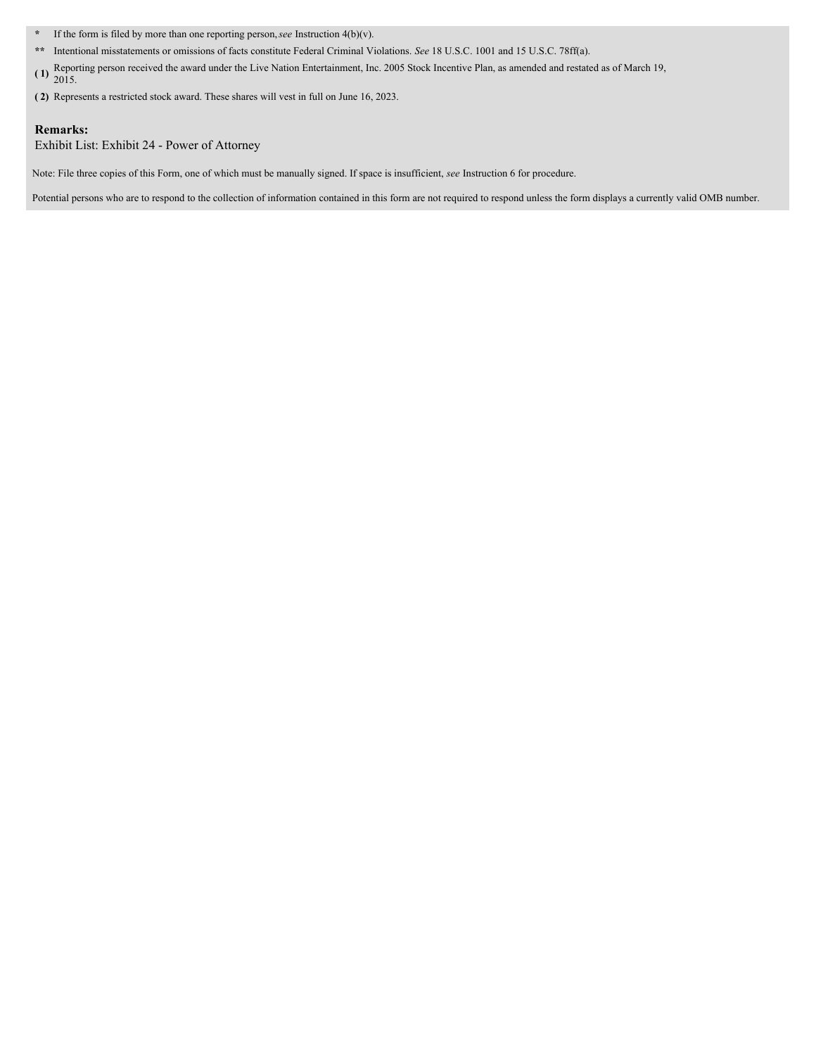**\*** If the form is filed by more than one reporting person,*see* Instruction 4(b)(v).

**\*\*** Intentional misstatements or omissions of facts constitute Federal Criminal Violations. *See* 18 U.S.C. 1001 and 15 U.S.C. 78ff(a).

**( 1)** Reporting person received the award under the Live Nation Entertainment, Inc. <sup>2005</sup> Stock Incentive Plan, as amended and restated as of March 19, 2015.

**( 2)** Represents a restricted stock award. These shares will vest in full on June 16, 2023.

#### **Remarks:**

Exhibit List: Exhibit 24 - Power of Attorney

Note: File three copies of this Form, one of which must be manually signed. If space is insufficient, *see* Instruction 6 for procedure.

Potential persons who are to respond to the collection of information contained in this form are not required to respond unless the form displays a currently valid OMB number.